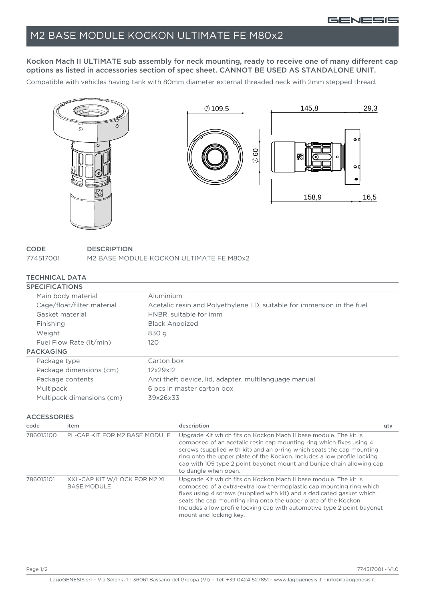## M2 BASE MODULE KOCKON ULTIMATE FE M80x2

Kockon Mach II ULTIMATE sub assembly for neck mounting, ready to receive one of many different cap options as listed in accessories section of spec sheet. CANNOT BE USED AS STANDALONE UNIT.

Compatible with vehicles having tank with 80mm diameter external threaded neck with 2mm stepped thread.



| CODE      | <b>DESCRIPTION</b>                      |
|-----------|-----------------------------------------|
| 774517001 | M2 BASE MODULE KOCKON ULTIMATE FE M80x2 |

## TECHNICAL DATA

| <b>SPECIFICATIONS</b>      |                                                                        |
|----------------------------|------------------------------------------------------------------------|
| Main body material         | Aluminium                                                              |
| Cage/float/filter material | Acetalic resin and Polyethylene LD, suitable for immersion in the fuel |
| Gasket material            | HNBR, suitable for imm                                                 |
| Finishing                  | <b>Black Anodized</b>                                                  |
| Weight                     | 830 g                                                                  |
| Fuel Flow Rate (It/min)    | 120                                                                    |
| <b>PACKAGING</b>           |                                                                        |
| Package type               | Carton box                                                             |
| Package dimensions (cm)    | 12x29x12                                                               |
| Package contents           | Anti theft device, lid, adapter, multilanguage manual                  |
| Multipack                  | 6 pcs in master carton box                                             |
| Multipack dimensions (cm)  | 39x26x33                                                               |

## ACCESSORIES

| code      | item                                               | description                                                                                                                                                                                                                                                                                                                                                                                  | qty |
|-----------|----------------------------------------------------|----------------------------------------------------------------------------------------------------------------------------------------------------------------------------------------------------------------------------------------------------------------------------------------------------------------------------------------------------------------------------------------------|-----|
| 786015100 | PL-CAP KIT FOR M2 BASE MODULE                      | Upgrade Kit which fits on Kockon Mach II base module. The kit is<br>composed of an acetalic resin cap mounting ring which fixes using 4<br>screws (supplied with kit) and an o-ring which seats the cap mounting<br>ring onto the upper plate of the Kockon. Includes a low profile locking<br>cap with 105 type 2 point bayonet mount and bunjee chain allowing cap<br>to dangle when open. |     |
| 786015101 | XXL-CAP KIT W/LOCK FOR M2 XL<br><b>BASE MODULE</b> | Upgrade Kit which fits on Kockon Mach II base module. The kit is<br>composed of a extra-extra low thermoplastic cap mounting ring which<br>fixes using 4 screws (supplied with kit) and a dedicated gasket which<br>seats the cap mounting ring onto the upper plate of the Kockon.<br>Includes a low profile locking cap with automotive type 2 point bayonet<br>mount and locking key.     |     |